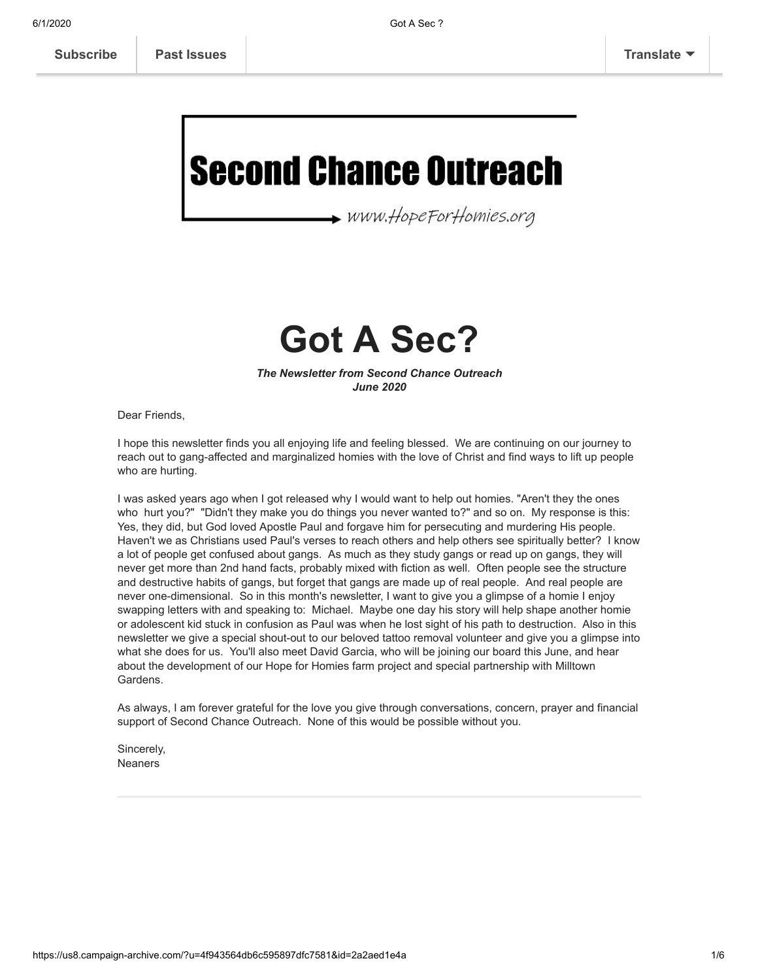**[Subscribe](http://eepurl.com/g19BkX) [Past Issues](https://us8.campaign-archive.com/home/?u=4f943564db6c595897dfc7581&id=4c481e7d7e) [Translate](javascript:;)**

# **Second Chance Outreach**

www.HopeForHomies.org

## **Got A Sec?**

*The Newsletter from Second Chance Outreach June 2020*

Dear Friends,

I hope this newsletter finds you all enjoying life and feeling blessed. We are continuing on our journey to reach out to gang-affected and marginalized homies with the love of Christ and find ways to lift up people who are hurting.

I was asked years ago when I got released why I would want to help out homies. "Aren't they the ones who hurt you?" "Didn't they make you do things you never wanted to?" and so on. My response is this: Yes, they did, but God loved Apostle Paul and forgave him for persecuting and murdering His people. Haven't we as Christians used Paul's verses to reach others and help others see spiritually better? I know a lot of people get confused about gangs. As much as they study gangs or read up on gangs, they will never get more than 2nd hand facts, probably mixed with fiction as well. Often people see the structure and destructive habits of gangs, but forget that gangs are made up of real people. And real people are never one-dimensional. So in this month's newsletter, I want to give you a glimpse of a homie I enjoy swapping letters with and speaking to: Michael. Maybe one day his story will help shape another homie or adolescent kid stuck in confusion as Paul was when he lost sight of his path to destruction. Also in this newsletter we give a special shout-out to our beloved tattoo removal volunteer and give you a glimpse into what she does for us. You'll also meet David Garcia, who will be joining our board this June, and hear about the development of our Hope for Homies farm project and special partnership with Milltown Gardens.

As always, I am forever grateful for the love you give through conversations, concern, prayer and financial support of Second Chance Outreach. None of this would be possible without you.

Sincerely, Neaners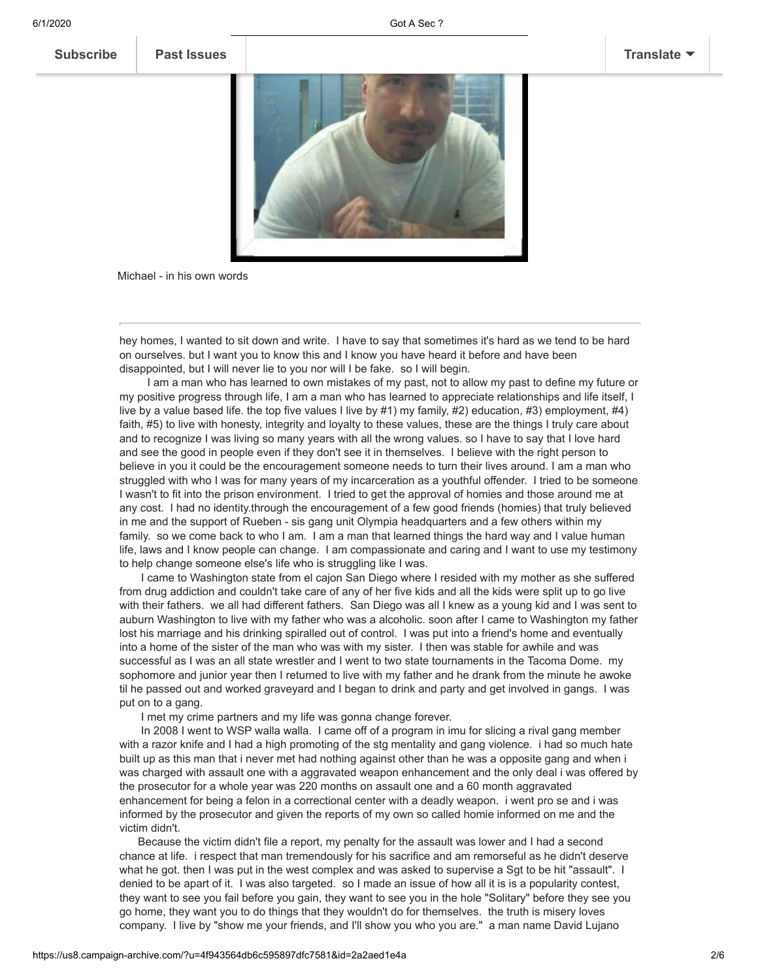#### **[Subscribe](http://eepurl.com/g19BkX) [Past Issues](https://us8.campaign-archive.com/home/?u=4f943564db6c595897dfc7581&id=4c481e7d7e) [Translate](javascript:;)**



Michael - in his own words

hey homes, I wanted to sit down and write. I have to say that sometimes it's hard as we tend to be hard on ourselves. but I want you to know this and I know you have heard it before and have been disappointed, but I will never lie to you nor will I be fake. so I will begin.

 I am a man who has learned to own mistakes of my past, not to allow my past to define my future or my positive progress through life, I am a man who has learned to appreciate relationships and life itself, I live by a value based life. the top five values I live by #1) my family, #2) education, #3) employment, #4) faith, #5) to live with honesty, integrity and loyalty to these values, these are the things I truly care about and to recognize I was living so many years with all the wrong values. so I have to say that I love hard and see the good in people even if they don't see it in themselves. I believe with the right person to believe in you it could be the encouragement someone needs to turn their lives around. I am a man who struggled with who I was for many years of my incarceration as a youthful offender. I tried to be someone I wasn't to fit into the prison environment. I tried to get the approval of homies and those around me at any cost. I had no identity.through the encouragement of a few good friends (homies) that truly believed in me and the support of Rueben - sis gang unit Olympia headquarters and a few others within my family. so we come back to who I am. I am a man that learned things the hard way and I value human life, laws and I know people can change. I am compassionate and caring and I want to use my testimony to help change someone else's life who is struggling like I was.

 I came to Washington state from el cajon San Diego where I resided with my mother as she suffered from drug addiction and couldn't take care of any of her five kids and all the kids were split up to go live with their fathers. we all had different fathers. San Diego was all I knew as a young kid and I was sent to auburn Washington to live with my father who was a alcoholic. soon after I came to Washington my father lost his marriage and his drinking spiralled out of control. I was put into a friend's home and eventually into a home of the sister of the man who was with my sister. I then was stable for awhile and was successful as I was an all state wrestler and I went to two state tournaments in the Tacoma Dome. my sophomore and junior year then I returned to live with my father and he drank from the minute he awoke til he passed out and worked graveyard and I began to drink and party and get involved in gangs. I was put on to a gang.

I met my crime partners and my life was gonna change forever.

 In 2008 I went to WSP walla walla. I came off of a program in imu for slicing a rival gang member with a razor knife and I had a high promoting of the stg mentality and gang violence. i had so much hate built up as this man that i never met had nothing against other than he was a opposite gang and when i was charged with assault one with a aggravated weapon enhancement and the only deal i was offered by the prosecutor for a whole year was 220 months on assault one and a 60 month aggravated enhancement for being a felon in a correctional center with a deadly weapon. i went pro se and i was informed by the prosecutor and given the reports of my own so called homie informed on me and the victim didn't.

 Because the victim didn't file a report, my penalty for the assault was lower and I had a second chance at life. i respect that man tremendously for his sacrifice and am remorseful as he didn't deserve what he got. then I was put in the west complex and was asked to supervise a Sgt to be hit "assault". I denied to be apart of it. I was also targeted. so I made an issue of how all it is is a popularity contest, they want to see you fail before you gain, they want to see you in the hole "Solitary" before they see you go home, they want you to do things that they wouldn't do for themselves. the truth is misery loves company. I live by "show me your friends, and I'll show you who you are." a man name David Lujano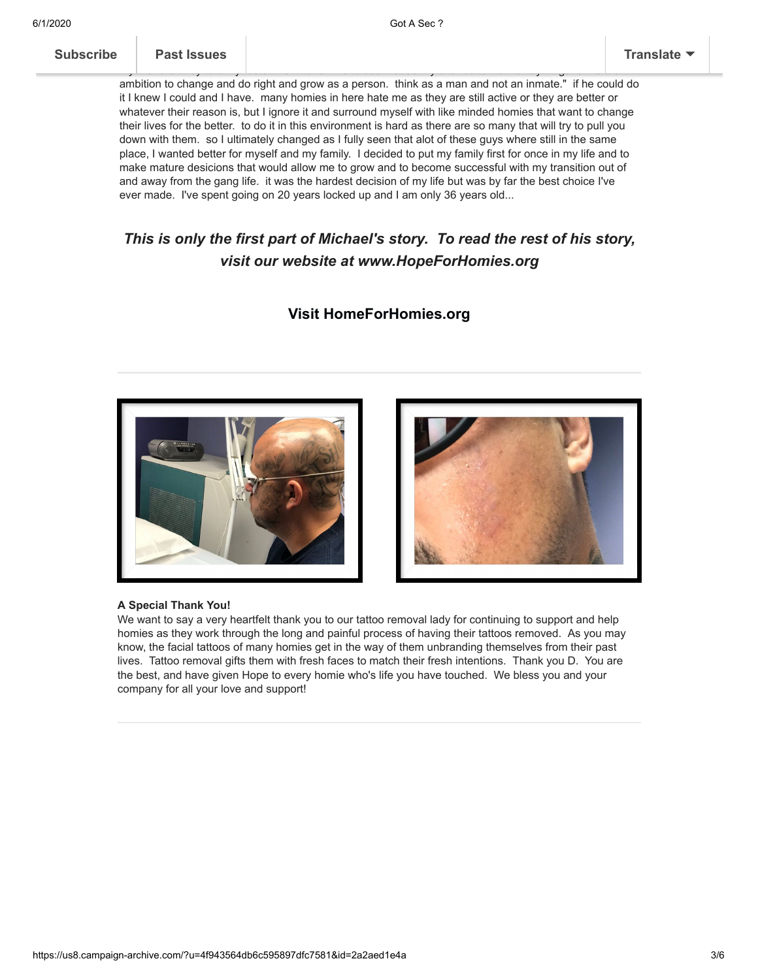| <b>Subscribe</b> |  |
|------------------|--|
|------------------|--|

#### **[Subscribe](http://eepurl.com/g19BkX) Past Issues [Translate](javascript:;)**

ambition to change and do right and grow as a person. think as a man and not an inmate." if he could do it I knew I could and I have. many homies in here hate me as they are still active or they are better or whatever their reason is, but I ignore it and surround myself with like minded homies that want to change their lives for the better. to do it in this environment is hard as there are so many that will try to pull you down with them. so I ultimately changed as I fully seen that alot of these guys where still in the same place, I wanted better for myself and my family. I decided to put my family first for once in my life and to make mature desicions that would allow me to grow and to become successful with my transition out of and away from the gang life. it was the hardest decision of my life but was by far the best choice I've ever made. I've spent going on 20 years locked up and I am only 36 years old...

my friend Smiley told my foster mom to tell me to use that as my chance to walk away. it gave me the

### *This is only the first part of Michael's story. To read the rest of his story, visit our website at www.HopeForHomies.org*

#### **[Visit HomeForHomies.org](http://www.hopeforhomies.org/)**





#### **A Special Thank You!**

We want to say a very heartfelt thank you to our tattoo removal lady for continuing to support and help homies as they work through the long and painful process of having their tattoos removed. As you may know, the facial tattoos of many homies get in the way of them unbranding themselves from their past lives. Tattoo removal gifts them with fresh faces to match their fresh intentions. Thank you D. You are the best, and have given Hope to every homie who's life you have touched. We bless you and your company for all your love and support!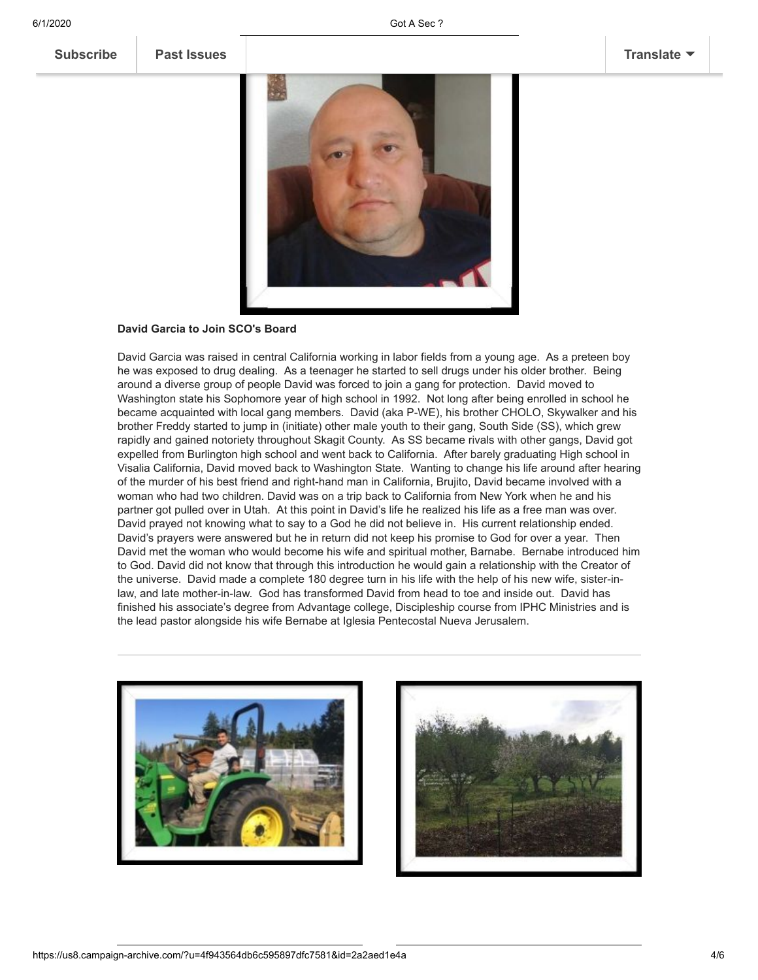#### **David Garcia to Join SCO's Board**

David Garcia was raised in central California working in labor fields from a young age. As a preteen boy he was exposed to drug dealing. As a teenager he started to sell drugs under his older brother. Being around a diverse group of people David was forced to join a gang for protection. David moved to Washington state his Sophomore year of high school in 1992. Not long after being enrolled in school he became acquainted with local gang members. David (aka P-WE), his brother CHOLO, Skywalker and his brother Freddy started to jump in (initiate) other male youth to their gang, South Side (SS), which grew rapidly and gained notoriety throughout Skagit County. As SS became rivals with other gangs, David got expelled from Burlington high school and went back to California. After barely graduating High school in Visalia California, David moved back to Washington State. Wanting to change his life around after hearing of the murder of his best friend and right-hand man in California, Brujito, David became involved with a woman who had two children. David was on a trip back to California from New York when he and his partner got pulled over in Utah. At this point in David's life he realized his life as a free man was over. David prayed not knowing what to say to a God he did not believe in. His current relationship ended. David's prayers were answered but he in return did not keep his promise to God for over a year. Then David met the woman who would become his wife and spiritual mother, Barnabe. Bernabe introduced him to God. David did not know that through this introduction he would gain a relationship with the Creator of the universe. David made a complete 180 degree turn in his life with the help of his new wife, sister-inlaw, and late mother-in-law. God has transformed David from head to toe and inside out. David has finished his associate's degree from Advantage college, Discipleship course from IPHC Ministries and is the lead pastor alongside his wife Bernabe at Iglesia Pentecostal Nueva Jerusalem.



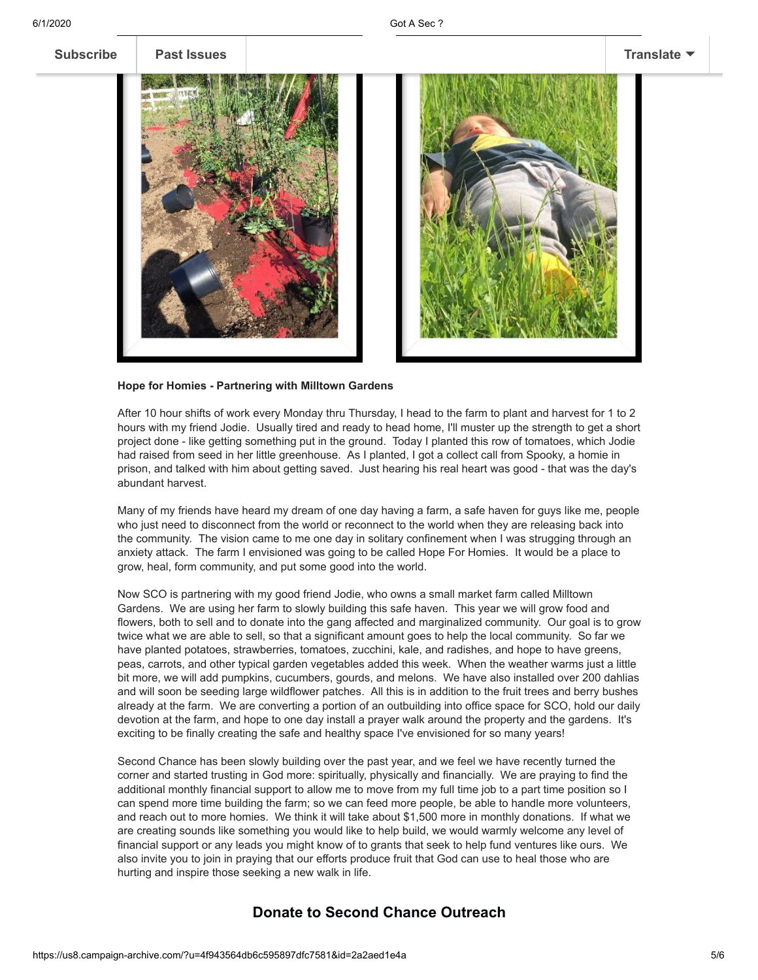

#### **Hope for Homies - Partnering with Milltown Gardens**

After 10 hour shifts of work every Monday thru Thursday, I head to the farm to plant and harvest for 1 to 2 hours with my friend Jodie. Usually tired and ready to head home, I'll muster up the strength to get a short project done - like getting something put in the ground. Today I planted this row of tomatoes, which Jodie had raised from seed in her little greenhouse. As I planted, I got a collect call from Spooky, a homie in prison, and talked with him about getting saved. Just hearing his real heart was good - that was the day's abundant harvest.

Many of my friends have heard my dream of one day having a farm, a safe haven for guys like me, people who just need to disconnect from the world or reconnect to the world when they are releasing back into the community. The vision came to me one day in solitary confinement when I was strugging through an anxiety attack. The farm I envisioned was going to be called Hope For Homies. It would be a place to grow, heal, form community, and put some good into the world.

Now SCO is partnering with my good friend Jodie, who owns a small market farm called Milltown Gardens. We are using her farm to slowly building this safe haven. This year we will grow food and flowers, both to sell and to donate into the gang affected and marginalized community. Our goal is to grow twice what we are able to sell, so that a significant amount goes to help the local community. So far we have planted potatoes, strawberries, tomatoes, zucchini, kale, and radishes, and hope to have greens, peas, carrots, and other typical garden vegetables added this week. When the weather warms just a little bit more, we will add pumpkins, cucumbers, gourds, and melons. We have also installed over 200 dahlias and will soon be seeding large wildflower patches. All this is in addition to the fruit trees and berry bushes already at the farm. We are converting a portion of an outbuilding into office space for SCO, hold our daily devotion at the farm, and hope to one day install a prayer walk around the property and the gardens. It's exciting to be finally creating the safe and healthy space I've envisioned for so many years!

Second Chance has been slowly building over the past year, and we feel we have recently turned the corner and started trusting in God more: spiritually, physically and financially. We are praying to find the additional monthly financial support to allow me to move from my full time job to a part time position so I can spend more time building the farm; so we can feed more people, be able to handle more volunteers, and reach out to more homies. We think it will take about \$1,500 more in monthly donations. If what we are creating sounds like something you would like to help build, we would warmly welcome any level of financial support or any leads you might know of to grants that seek to help fund ventures like ours. We also invite you to join in praying that our efforts produce fruit that God can use to heal those who are hurting and inspire those seeking a new walk in life.

#### **[Donate to Second Chance Outreach](https://www.paypal.com/donate/?token=Q1nZBG-yIHVHrOvLNL4SEuHqllLTVul2EbIzU61Yu8eFbDkhyX8jtu0un5jsScYPLr6UwG&country.x=US&locale.x=)**